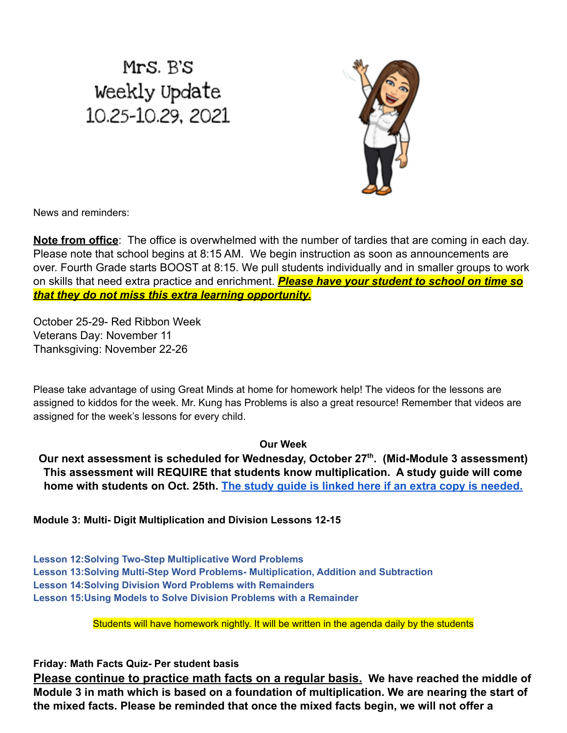## Mrs. B's Weekly Update 10.25-10.29, 2021



News and reminders:

**Note from office**: The office is overwhelmed with the number of tardies that are coming in each day. Please note that school begins at 8:15 AM. We begin instruction as soon as announcements are over. Fourth Grade starts BOOST at 8:15. We pull students individually and in smaller groups to work on skills that need extra practice and enrichment. *Please have your student to school on time so that they do not miss this extra learning opportunity.*

October 25-29- Red Ribbon Week Veterans Day: November 11 Thanksgiving: November 22-26

Please take advantage of using Great Minds at home for homework help! The videos for the lessons are assigned to kiddos for the week. Mr. Kung has Problems is also a great resource! Remember that videos are assigned for the week's lessons for every child.

## **Our Week**

**Our next assessment is scheduled for Wednesday, October 27th . (Mid-Module 3 assessment) This assessment will REQUIRE that students know multiplication. A study guide will come home with students on Oct. 25th. The study guide is [linked here if an extra copy is needed.](https://drive.google.com/file/d/19OzQd8UOIITyLdBtmatFgacRWuigHYZC/view?usp=sharing)**

**Module 3: Multi- Digit Multiplication and Division Lessons 12-15**

**Lesson 12:Solving Two-Step Multiplicative Word Problems Lesson 13:Solving Multi-Step Word Problems- Multiplication, Addition and Subtraction Lesson 14:Solving Division Word Problems with Remainders Lesson 15:Using Models to Solve Division Problems with a Remainder**

Students will have homework nightly. It will be written in the agenda daily by the students

**Friday: Math Facts Quiz- Per student basis**

**Please continue to practice math facts on a regular basis. We have reached the middle of Module 3 in math which is based on a foundation of multiplication. We are nearing the start of the mixed facts. Please be reminded that once the mixed facts begin, we will not offer a**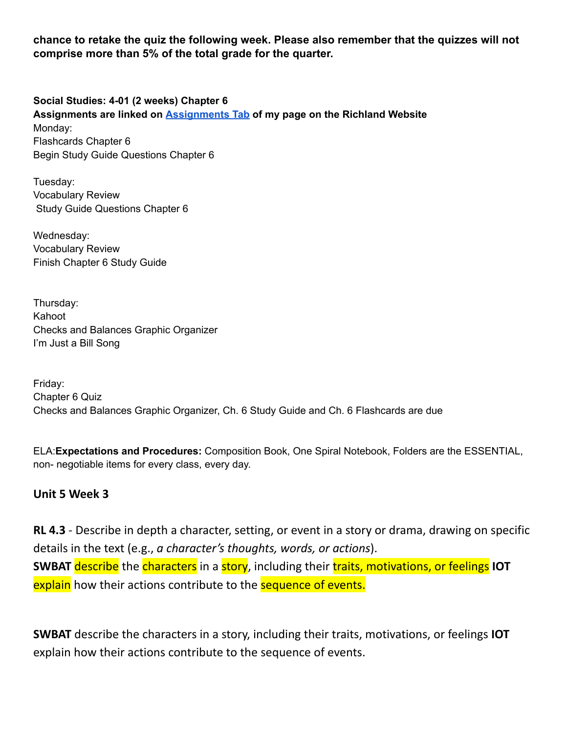**chance to retake the quiz the following week. Please also remember that the quizzes will not comprise more than 5% of the total grade for the quarter.**

**Social Studies: 4-01 (2 weeks) Chapter 6**

**Assignments are linked on [Assignments](https://schools.scsk12.org/Page/14428) Tab of my page on the Richland Website** Monday: Flashcards Chapter 6 Begin Study Guide Questions Chapter 6

Tuesday: Vocabulary Review Study Guide Questions Chapter 6

Wednesday: Vocabulary Review Finish Chapter 6 Study Guide

Thursday: Kahoot Checks and Balances Graphic Organizer I'm Just a Bill Song

Friday: Chapter 6 Quiz Checks and Balances Graphic Organizer, Ch. 6 Study Guide and Ch. 6 Flashcards are due

ELA:**Expectations and Procedures:** Composition Book, One Spiral Notebook, Folders are the ESSENTIAL, non- negotiable items for every class, every day.

## **Unit 5 Week 3**

**RL 4.3** - Describe in depth a character, setting, or event in a story or drama, drawing on specific details in the text (e.g., *a character's thoughts, words, or actions*). **SWBAT** describe the characters in a story, including their traits, motivations, or feelings **IOT** explain how their actions contribute to the sequence of events.

**SWBAT** describe the characters in a story, including their traits, motivations, or feelings **IOT** explain how their actions contribute to the sequence of events.